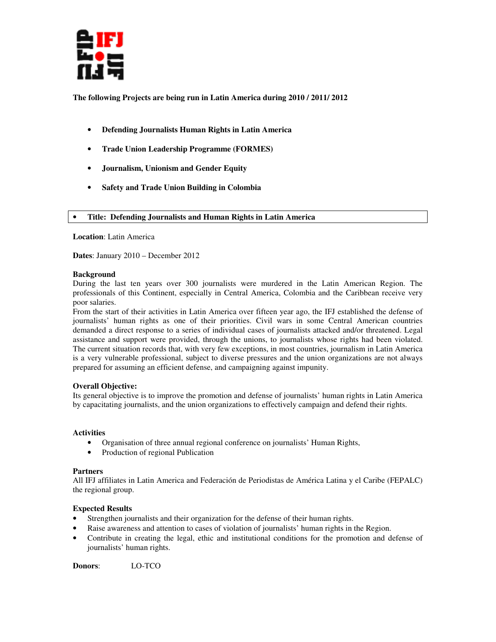

**The following Projects are being run in Latin America during 2010 / 2011/ 2012** 

- **Defending Journalists Human Rights in Latin America**
- **Trade Union Leadership Programme (FORMES)**
- **Journalism, Unionism and Gender Equity**
- **Safety and Trade Union Building in Colombia**

## • **Title: Defending Journalists and Human Rights in Latin America**

**Location**: Latin America

**Dates**: January 2010 – December 2012

## **Background**

During the last ten years over 300 journalists were murdered in the Latin American Region. The professionals of this Continent, especially in Central America, Colombia and the Caribbean receive very poor salaries.

From the start of their activities in Latin America over fifteen year ago, the IFJ established the defense of journalists' human rights as one of their priorities. Civil wars in some Central American countries demanded a direct response to a series of individual cases of journalists attacked and/or threatened. Legal assistance and support were provided, through the unions, to journalists whose rights had been violated. The current situation records that, with very few exceptions, in most countries, journalism in Latin America is a very vulnerable professional, subject to diverse pressures and the union organizations are not always prepared for assuming an efficient defense, and campaigning against impunity.

# **Overall Objective:**

Its general objective is to improve the promotion and defense of journalists' human rights in Latin America by capacitating journalists, and the union organizations to effectively campaign and defend their rights.

## **Activities**

- Organisation of three annual regional conference on journalists' Human Rights,
- Production of regional Publication

### **Partners**

All IFJ affiliates in Latin America and Federación de Periodistas de América Latina y el Caribe (FEPALC) the regional group.

# **Expected Results**

- Strengthen journalists and their organization for the defense of their human rights.
- Raise awareness and attention to cases of violation of journalists' human rights in the Region.
- Contribute in creating the legal, ethic and institutional conditions for the promotion and defense of journalists' human rights.

**Donors**: LO-TCO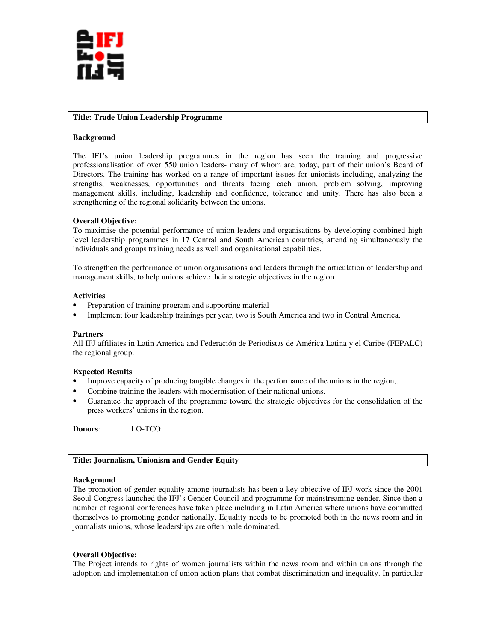

### **Title: Trade Union Leadership Programme**

### **Background**

The IFJ's union leadership programmes in the region has seen the training and progressive professionalisation of over 550 union leaders- many of whom are, today, part of their union's Board of Directors. The training has worked on a range of important issues for unionists including, analyzing the strengths, weaknesses, opportunities and threats facing each union, problem solving, improving management skills, including, leadership and confidence, tolerance and unity. There has also been a strengthening of the regional solidarity between the unions.

# **Overall Objective:**

To maximise the potential performance of union leaders and organisations by developing combined high level leadership programmes in 17 Central and South American countries, attending simultaneously the individuals and groups training needs as well and organisational capabilities.

To strengthen the performance of union organisations and leaders through the articulation of leadership and management skills, to help unions achieve their strategic objectives in the region.

### **Activities**

- Preparation of training program and supporting material
- Implement four leadership trainings per year, two is South America and two in Central America.

### **Partners**

All IFJ affiliates in Latin America and Federación de Periodistas de América Latina y el Caribe (FEPALC) the regional group.

### **Expected Results**

- Improve capacity of producing tangible changes in the performance of the unions in the region,.
- Combine training the leaders with modernisation of their national unions.
- Guarantee the approach of the programme toward the strategic objectives for the consolidation of the press workers' unions in the region.

**Donors**: LO-TCO

# **Title: Journalism, Unionism and Gender Equity**

### **Background**

The promotion of gender equality among journalists has been a key objective of IFJ work since the 2001 Seoul Congress launched the IFJ's Gender Council and programme for mainstreaming gender. Since then a number of regional conferences have taken place including in Latin America where unions have committed themselves to promoting gender nationally. Equality needs to be promoted both in the news room and in journalists unions, whose leaderships are often male dominated.

# **Overall Objective:**

The Project intends to rights of women journalists within the news room and within unions through the adoption and implementation of union action plans that combat discrimination and inequality. In particular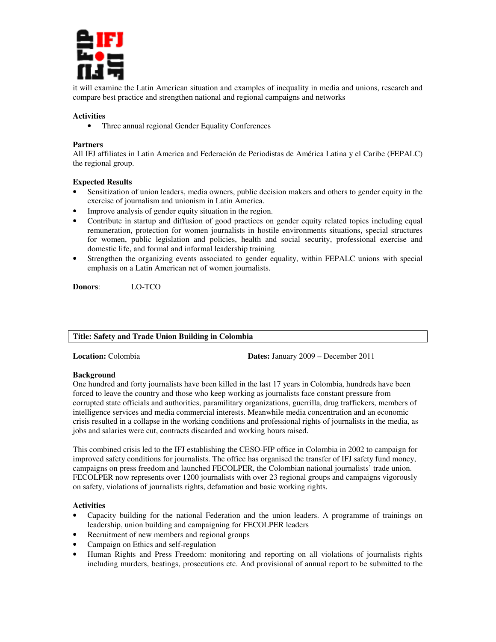

it will examine the Latin American situation and examples of inequality in media and unions, research and compare best practice and strengthen national and regional campaigns and networks

# **Activities**

• Three annual regional Gender Equality Conferences

## **Partners**

All IFJ affiliates in Latin America and Federación de Periodistas de América Latina y el Caribe (FEPALC) the regional group.

## **Expected Results**

- Sensitization of union leaders, media owners, public decision makers and others to gender equity in the exercise of journalism and unionism in Latin America.
- Improve analysis of gender equity situation in the region.
- Contribute in startup and diffusion of good practices on gender equity related topics including equal remuneration, protection for women journalists in hostile environments situations, special structures for women, public legislation and policies, health and social security, professional exercise and domestic life, and formal and informal leadership training
- Strengthen the organizing events associated to gender equality, within FEPALC unions with special emphasis on a Latin American net of women journalists.

**Donors**: LO-TCO

# **Title: Safety and Trade Union Building in Colombia**

**Location:** Colombia **Dates:** January 2009 – December 2011

### **Background**

One hundred and forty journalists have been killed in the last 17 years in Colombia, hundreds have been forced to leave the country and those who keep working as journalists face constant pressure from corrupted state officials and authorities, paramilitary organizations, guerrilla, drug traffickers, members of intelligence services and media commercial interests. Meanwhile media concentration and an economic crisis resulted in a collapse in the working conditions and professional rights of journalists in the media, as jobs and salaries were cut, contracts discarded and working hours raised.

This combined crisis led to the IFJ establishing the CESO-FIP office in Colombia in 2002 to campaign for improved safety conditions for journalists. The office has organised the transfer of IFJ safety fund money, campaigns on press freedom and launched FECOLPER, the Colombian national journalists' trade union. FECOLPER now represents over 1200 journalists with over 23 regional groups and campaigns vigorously on safety, violations of journalists rights, defamation and basic working rights.

## **Activities**

- Capacity building for the national Federation and the union leaders. A programme of trainings on leadership, union building and campaigning for FECOLPER leaders
- Recruitment of new members and regional groups
- Campaign on Ethics and self-regulation
- Human Rights and Press Freedom: monitoring and reporting on all violations of journalists rights including murders, beatings, prosecutions etc. And provisional of annual report to be submitted to the